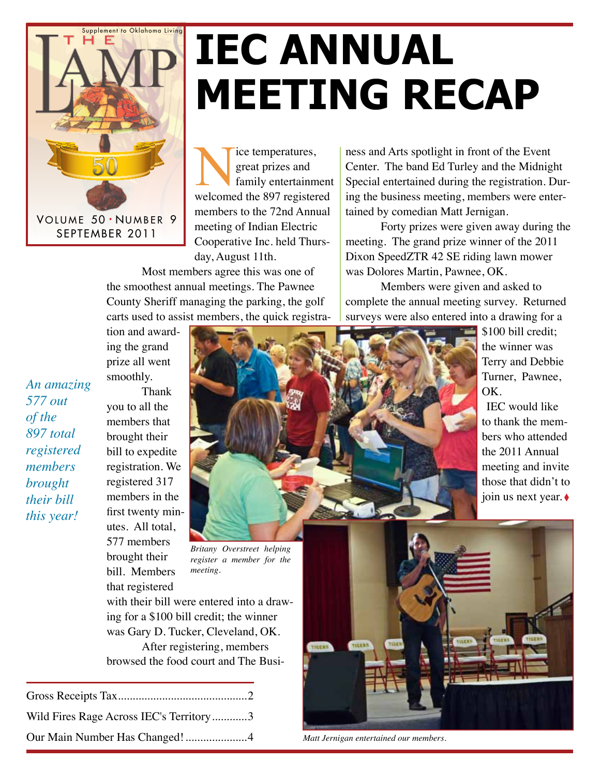

### **IEC Annual Meeting Recap**

Nice temperatures,<br>
great prizes and<br>
family entertainment<br>
welcomed the 897 registered great prizes and family entertainment members to the 72nd Annual meeting of Indian Electric Cooperative Inc. held Thursday, August 11th.

Most members agree this was one of the smoothest annual meetings. The Pawnee County Sheriff managing the parking, the golf carts used to assist members, the quick registra-

ness and Arts spotlight in front of the Event Center. The band Ed Turley and the Midnight Special entertained during the registration. During the business meeting, members were entertained by comedian Matt Jernigan.

Forty prizes were given away during the meeting. The grand prize winner of the 2011 Dixon SpeedZTR 42 SE riding lawn mower was Dolores Martin, Pawnee, OK.

Members were given and asked to complete the annual meeting survey. Returned surveys were also entered into a drawing for a

> \$100 bill credit; the winner was Terry and Debbie Turner, Pawnee,

IEC would like to thank the members who attended the 2011 Annual meeting and invite those that didn't to join us next year. ◊

OK.

tion and awarding the grand

*An amazing 577 out of the 897 total registered members brought their bill this year!*

prize all went smoothly. Thank you to all the members that brought their bill to expedite registration. We registered 317 members in the first twenty minutes. All total, 577 members brought their bill. Members that registered



*Britany Overstreet helping register a member for the meeting.*

with their bill were entered into a drawing for a \$100 bill credit; the winner was Gary D. Tucker, Cleveland, OK. After registering, members browsed the food court and The Busi-

| Wild Fires Rage Across IEC's Territory3 |  |
|-----------------------------------------|--|
|                                         |  |



*Matt Jernigan entertained our members.*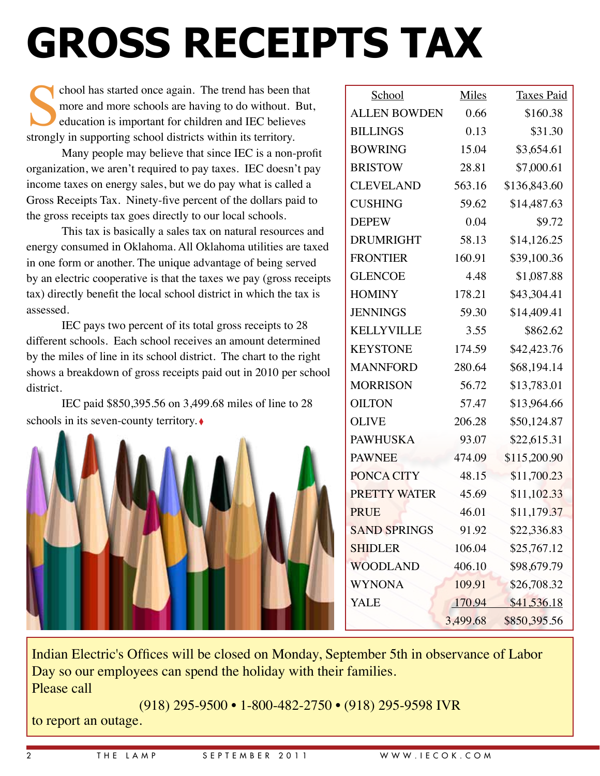## **Gross receipts tax**

chool has started once again. The trend has been that<br>more and more schools are having to do without. But<br>education is important for children and IEC believes<br>strongly in supporting school districts within its territory more and more schools are having to do without. But, education is important for children and IEC believes strongly in supporting school districts within its territory.

Many people may believe that since IEC is a non-profit organization, we aren't required to pay taxes. IEC doesn't pay income taxes on energy sales, but we do pay what is called a Gross Receipts Tax. Ninety-five percent of the dollars paid to the gross receipts tax goes directly to our local schools.

This tax is basically a sales tax on natural resources and energy consumed in Oklahoma. All Oklahoma utilities are taxed in one form or another. The unique advantage of being served by an electric cooperative is that the taxes we pay (gross receipts tax) directly benefit the local school district in which the tax is assessed.

IEC pays two percent of its total gross receipts to 28 different schools. Each school receives an amount determined by the miles of line in its school district. The chart to the right shows a breakdown of gross receipts paid out in 2010 per school district.

IEC paid \$850,395.56 on 3,499.68 miles of line to 28 schools in its seven-county territory.



| School              | Miles    | <b>Taxes Paid</b> |
|---------------------|----------|-------------------|
| <b>ALLEN BOWDEN</b> | 0.66     | \$160.38          |
| <b>BILLINGS</b>     | 0.13     | \$31.30           |
| <b>BOWRING</b>      | 15.04    | \$3,654.61        |
| <b>BRISTOW</b>      | 28.81    | \$7,000.61        |
| <b>CLEVELAND</b>    | 563.16   | \$136,843.60      |
| <b>CUSHING</b>      | 59.62    | \$14,487.63       |
| <b>DEPEW</b>        | 0.04     | \$9.72            |
| <b>DRUMRIGHT</b>    | 58.13    | \$14,126.25       |
| <b>FRONTIER</b>     | 160.91   | \$39,100.36       |
| <b>GLENCOE</b>      | 4.48     | \$1,087.88        |
| <b>HOMINY</b>       | 178.21   | \$43,304.41       |
| <b>JENNINGS</b>     | 59.30    | \$14,409.41       |
| <b>KELLYVILLE</b>   | 3.55     | \$862.62          |
| <b>KEYSTONE</b>     | 174.59   | \$42,423.76       |
| <b>MANNFORD</b>     | 280.64   | \$68,194.14       |
| <b>MORRISON</b>     | 56.72    | \$13,783.01       |
| <b>OILTON</b>       | 57.47    | \$13,964.66       |
| <b>OLIVE</b>        | 206.28   | \$50,124.87       |
| <b>PAWHUSKA</b>     | 93.07    | \$22,615.31       |
| <b>PAWNEE</b>       | 474.09   | \$115,200.90      |
| PONCA CITY          | 48.15    | \$11,700.23       |
| <b>PRETTY WATER</b> | 45.69    | \$11,102.33       |
| <b>PRUE</b>         | 46.01    | \$11,179.37       |
| <b>SAND SPRINGS</b> | 91.92    | \$22,336.83       |
| <b>SHIDLER</b>      | 106.04   | \$25,767.12       |
| <b>WOODLAND</b>     | 406.10   | \$98,679.79       |
| <b>WYNONA</b>       | 109.91   | \$26,708.32       |
| <b>YALE</b>         | 170.94   | \$41,536.18       |
|                     | 3,499.68 | \$850,395.56      |

Indian Electric's Offices will be closed on Monday, September 5th in observance of Labor Day so our employees can spend the holiday with their families. Please call

(918) 295-9500 • 1-800-482-2750 • (918) 295-9598 IVR to report an outage.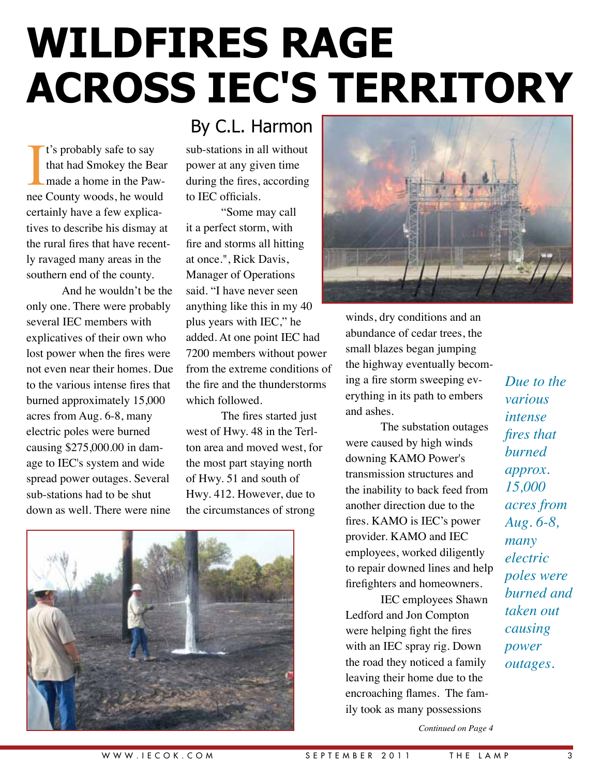### **Wildfires rage across Iec's territory**

It's probably safe to say<br>that had Smokey the Bear<br>made a home in the Paw-<br>nee County woods, he would t's probably safe to say that had Smokey the Bear made a home in the Pawcertainly have a few explicatives to describe his dismay at the rural fires that have recently ravaged many areas in the southern end of the county.

And he wouldn't be the only one. There were probably several IEC members with explicatives of their own who lost power when the fires were not even near their homes. Due to the various intense fires that burned approximately 15,000 acres from Aug. 6-8, many electric poles were burned causing \$275,000.00 in damage to IEC's system and wide spread power outages. Several sub-stations had to be shut down as well. There were nine

#### By C.L. Harmon

sub-stations in all without power at any given time during the fires, according to IEC officials.

"Some may call it a perfect storm, with fire and storms all hitting at once.", Rick Davis, Manager of Operations said. "I have never seen anything like this in my 40 plus years with IEC," he added. At one point IEC had 7200 members without power from the extreme conditions of the fire and the thunderstorms which followed.

The fires started just west of Hwy. 48 in the Terlton area and moved west, for the most part staying north of Hwy. 51 and south of Hwy. 412. However, due to the circumstances of strong





winds, dry conditions and an abundance of cedar trees, the small blazes began jumping the highway eventually becoming a fire storm sweeping everything in its path to embers and ashes.

The substation outages were caused by high winds downing KAMO Power's transmission structures and the inability to back feed from another direction due to the fires. KAMO is IEC's power provider. KAMO and IEC employees, worked diligently to repair downed lines and help firefighters and homeowners.

IEC employees Shawn Ledford and Jon Compton were helping fight the fires with an IEC spray rig. Down the road they noticed a family leaving their home due to the encroaching flames. The family took as many possessions

*Due to the various intense fires that burned approx. 15,000 acres from Aug. 6-8, many electric poles were burned and taken out causing power outages.*

*Continued on Page 4*